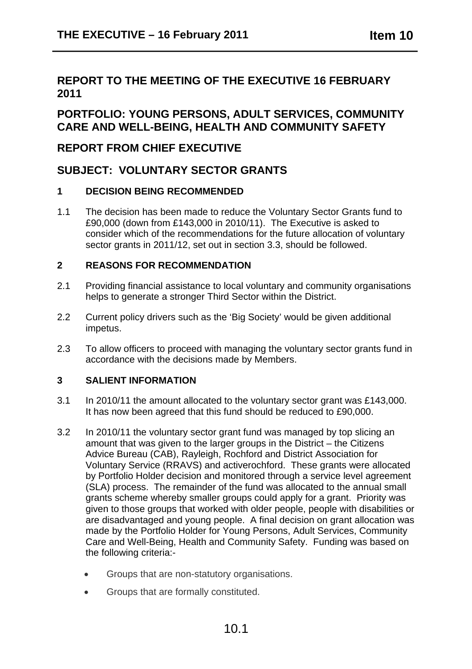## **REPORT TO THE MEETING OF THE EXECUTIVE 16 FEBRUARY 2011**

## **PORTFOLIO: YOUNG PERSONS, ADULT SERVICES, COMMUNITY CARE AND WELL-BEING, HEALTH AND COMMUNITY SAFETY**

## **REPORT FROM CHIEF EXECUTIVE**

## **SUBJECT: VOLUNTARY SECTOR GRANTS**

### **1 DECISION BEING RECOMMENDED**

1.1 The decision has been made to reduce the Voluntary Sector Grants fund to £90,000 (down from £143,000 in 2010/11). The Executive is asked to consider which of the recommendations for the future allocation of voluntary sector grants in 2011/12, set out in section 3.3, should be followed.

### **2 REASONS FOR RECOMMENDATION**

- 2.1 Providing financial assistance to local voluntary and community organisations helps to generate a stronger Third Sector within the District.
- 2.2 Current policy drivers such as the 'Big Society' would be given additional impetus.
- 2.3 To allow officers to proceed with managing the voluntary sector grants fund in accordance with the decisions made by Members.

### **3 SALIENT INFORMATION**

- 3.1 In 2010/11 the amount allocated to the voluntary sector grant was £143,000. It has now been agreed that this fund should be reduced to £90,000.
- 3.2 In 2010/11 the voluntary sector grant fund was managed by top slicing an amount that was given to the larger groups in the District – the Citizens Advice Bureau (CAB), Rayleigh, Rochford and District Association for Voluntary Service (RRAVS) and activerochford. These grants were allocated by Portfolio Holder decision and monitored through a service level agreement (SLA) process. The remainder of the fund was allocated to the annual small grants scheme whereby smaller groups could apply for a grant. Priority was given to those groups that worked with older people, people with disabilities or are disadvantaged and young people. A final decision on grant allocation was made by the Portfolio Holder for Young Persons, Adult Services, Community Care and Well-Being, Health and Community Safety. Funding was based on the following criteria:-
	- Groups that are non-statutory organisations.
	- Groups that are formally constituted.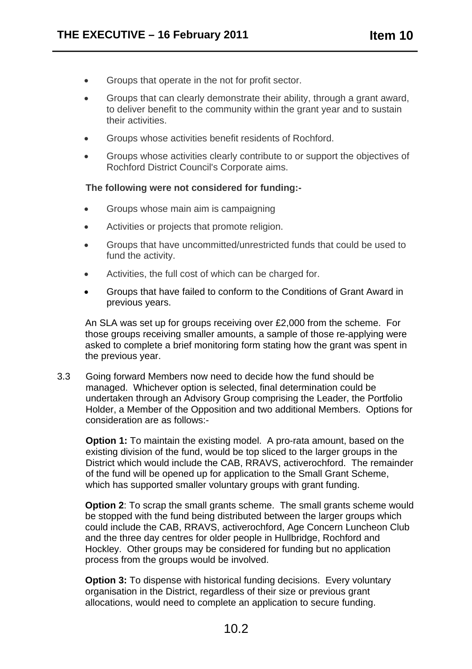- Groups that operate in the not for profit sector.
- Groups that can clearly demonstrate their ability, through a grant award, to deliver benefit to the community within the grant year and to sustain their activities.
- Groups whose activities benefit residents of Rochford.
- Groups whose activities clearly contribute to or support the objectives of Rochford District Council's Corporate aims.

#### **The following were not considered for funding:-**

- Groups whose main aim is campaigning
- Activities or projects that promote religion.
- Groups that have uncommitted/unrestricted funds that could be used to fund the activity.
- Activities, the full cost of which can be charged for.
- Groups that have failed to conform to the Conditions of Grant Award in previous years.

An SLA was set up for groups receiving over £2,000 from the scheme. For those groups receiving smaller amounts, a sample of those re-applying were asked to complete a brief monitoring form stating how the grant was spent in the previous year.

3.3 Going forward Members now need to decide how the fund should be managed. Whichever option is selected, final determination could be undertaken through an Advisory Group comprising the Leader, the Portfolio Holder, a Member of the Opposition and two additional Members. Options for consideration are as follows:-

**Option 1:** To maintain the existing model. A pro-rata amount, based on the existing division of the fund, would be top sliced to the larger groups in the District which would include the CAB, RRAVS, activerochford. The remainder of the fund will be opened up for application to the Small Grant Scheme, which has supported smaller voluntary groups with grant funding.

**Option 2:** To scrap the small grants scheme. The small grants scheme would be stopped with the fund being distributed between the larger groups which could include the CAB, RRAVS, activerochford, Age Concern Luncheon Club and the three day centres for older people in Hullbridge, Rochford and Hockley. Other groups may be considered for funding but no application process from the groups would be involved.

**Option 3:** To dispense with historical funding decisions. Every voluntary organisation in the District, regardless of their size or previous grant allocations, would need to complete an application to secure funding.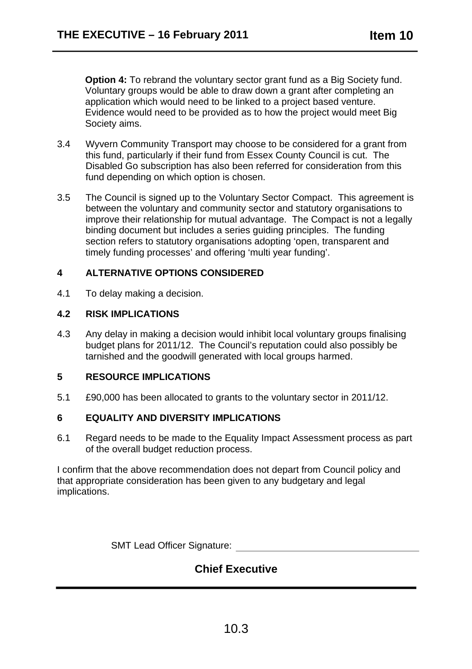**Option 4:** To rebrand the voluntary sector grant fund as a Big Society fund. Voluntary groups would be able to draw down a grant after completing an application which would need to be linked to a project based venture. Evidence would need to be provided as to how the project would meet Big Society aims.

- 3.4 Wyvern Community Transport may choose to be considered for a grant from this fund, particularly if their fund from Essex County Council is cut. The Disabled Go subscription has also been referred for consideration from this fund depending on which option is chosen.
- 3.5 The Council is signed up to the Voluntary Sector Compact. This agreement is between the voluntary and community sector and statutory organisations to improve their relationship for mutual advantage. The Compact is not a legally binding document but includes a series guiding principles. The funding section refers to statutory organisations adopting 'open, transparent and timely funding processes' and offering 'multi year funding'.

#### **4 ALTERNATIVE OPTIONS CONSIDERED**

4.1 To delay making a decision.

#### **4.2 RISK IMPLICATIONS**

4.3 Any delay in making a decision would inhibit local voluntary groups finalising budget plans for 2011/12. The Council's reputation could also possibly be tarnished and the goodwill generated with local groups harmed.

#### **5 RESOURCE IMPLICATIONS**

5.1 £90,000 has been allocated to grants to the voluntary sector in 2011/12.

#### **6 EQUALITY AND DIVERSITY IMPLICATIONS**

6.1 Regard needs to be made to the Equality Impact Assessment process as part of the overall budget reduction process.

I confirm that the above recommendation does not depart from Council policy and that appropriate consideration has been given to any budgetary and legal implications.

SMT Lead Officer Signature:

# **Chief Executive**